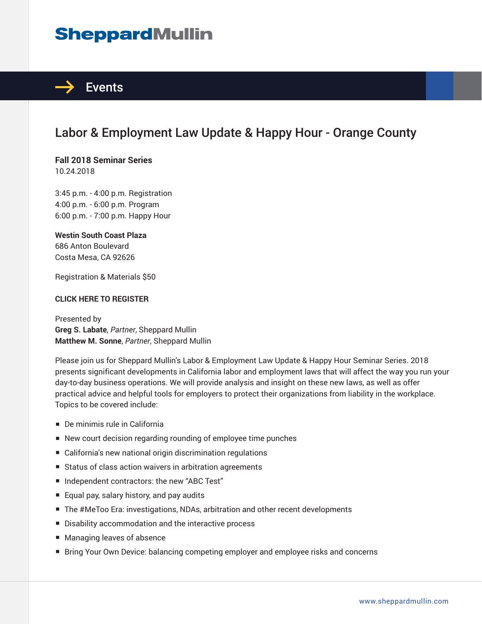# **SheppardMullin**



## Labor & Employment Law Update & Happy Hour - Orange County

# **Fall 2018 Seminar Series**

10.24.2018

3:45 p.m. - 4:00 p.m. Registration 4:00 p.m. - 6:00 p.m. Program 6:00 p.m. - 7:00 p.m. Happy Hour

#### **Westin South Coast Plaza**

686 Anton Boulevard Costa Mesa, CA 92626

Registration & Materials \$50

#### **CLICK HERE TO REGISTER**

Presented by **Greg S. Labate**, *Partner*, Sheppard Mullin **Matthew M. Sonne**, *Partner*, Sheppard Mullin

Please join us for Sheppard Mullin's Labor & Employment Law Update & Happy Hour Seminar Series. 2018 presents significant developments in California labor and employment laws that will affect the way you run your day-to-day business operations. We will provide analysis and insight on these new laws, as well as offer practical advice and helpful tools for employers to protect their organizations from liability in the workplace. Topics to be covered include:

- De minimis rule in California
- New court decision regarding rounding of employee time punches
- California's new national origin discrimination regulations
- Status of class action waivers in arbitration agreements
- Independent contractors: the new "ABC Test"
- Equal pay, salary history, and pay audits
- The #MeToo Era: investigations, NDAs, arbitration and other recent developments
- Disability accommodation and the interactive process
- Managing leaves of absence
- Bring Your Own Device: balancing competing employer and employee risks and concerns